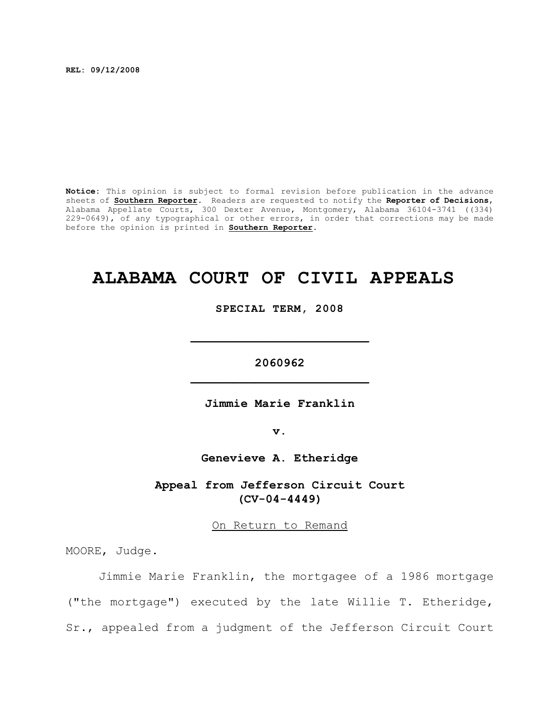**REL: 09/12/2008**

**Notice:** This opinion is subject to formal revision before publication in the advance sheets of **Southern Reporter**. Readers are requested to notify the **Reporter of Decisions**, Alabama Appellate Courts, 300 Dexter Avenue, Montgomery, Alabama 36104-3741 ((334) 229-0649), of any typographical or other errors, in order that corrections may be made before the opinion is printed in **Southern Reporter**.

## **ALABAMA COURT OF CIVIL APPEALS**

**SPECIAL TERM, 2008**

**\_\_\_\_\_\_\_\_\_\_\_\_\_\_\_\_\_\_\_\_\_\_\_\_\_**

**2060962 \_\_\_\_\_\_\_\_\_\_\_\_\_\_\_\_\_\_\_\_\_\_\_\_\_**

**Jimmie Marie Franklin**

**v.**

**Genevieve A. Etheridge**

**Appeal from Jefferson Circuit Court (CV-04-4449)**

On Return to Remand

MOORE, Judge.

Jimmie Marie Franklin, the mortgagee of a 1986 mortgage ("the mortgage") executed by the late Willie T. Etheridge, Sr., appealed from a judgment of the Jefferson Circuit Court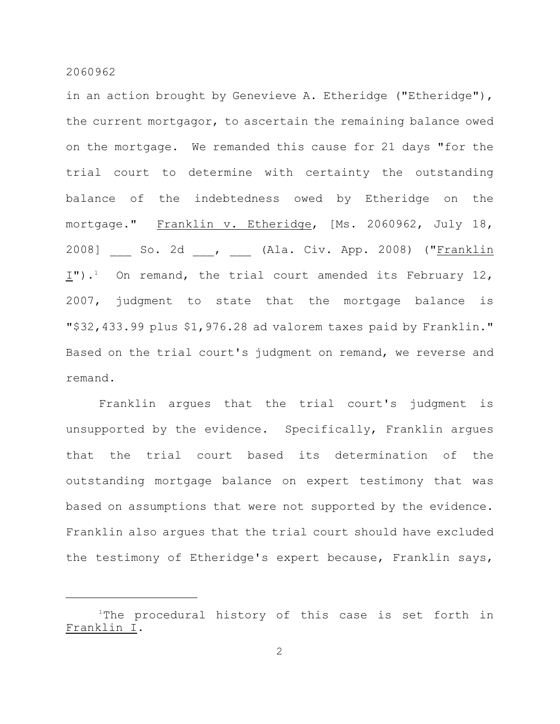in an action brought by Genevieve A. Etheridge ("Etheridge"), the current mortgagor, to ascertain the remaining balance owed on the mortgage. We remanded this cause for 21 days "for the trial court to determine with certainty the outstanding balance of the indebtedness owed by Etheridge on the mortgage." Franklin v. Etheridge, [Ms. 2060962, July 18, 2008] So. 2d , (Ala. Civ. App. 2008) ("Franklin  $I$ ").<sup>1</sup> On remand, the trial court amended its February 12, 2007, judgment to state that the mortgage balance is "\$32,433.99 plus \$1,976.28 ad valorem taxes paid by Franklin." Based on the trial court's judgment on remand, we reverse and remand.

Franklin argues that the trial court's judgment is unsupported by the evidence. Specifically, Franklin argues that the trial court based its determination of the outstanding mortgage balance on expert testimony that was based on assumptions that were not supported by the evidence. Franklin also argues that the trial court should have excluded the testimony of Etheridge's expert because, Franklin says,

 $1$ The procedural history of this case is set forth in Franklin I.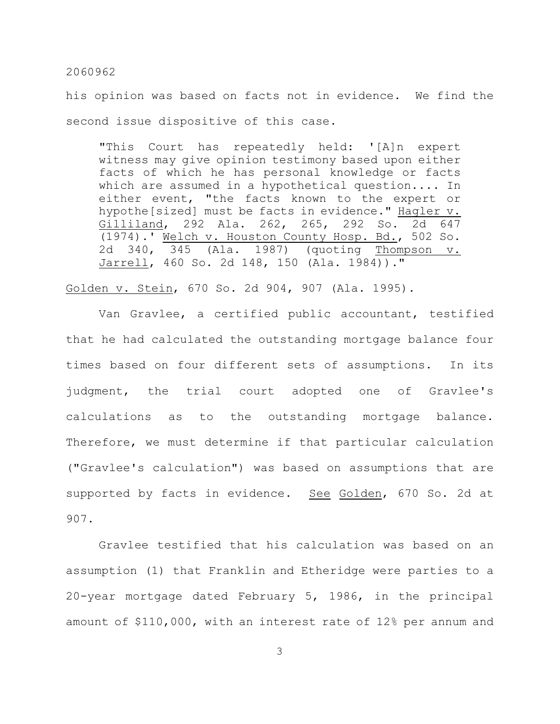his opinion was based on facts not in evidence. We find the second issue dispositive of this case.

"This Court has repeatedly held: '[A]n expert witness may give opinion testimony based upon either facts of which he has personal knowledge or facts which are assumed in a hypothetical question.... In either event, "the facts known to the expert or hypothe[sized] must be facts in evidence." Hagler v. Gilliland, 292 Ala. 262, 265, 292 So. 2d 647 (1974).' Welch v. Houston County Hosp. Bd., 502 So. 2d 340, 345 (Ala. 1987) (quoting Thompson v. Jarrell, 460 So. 2d 148, 150 (Ala. 1984))."

Golden v. Stein, 670 So. 2d 904, 907 (Ala. 1995).

Van Gravlee, a certified public accountant, testified that he had calculated the outstanding mortgage balance four times based on four different sets of assumptions. In its judgment, the trial court adopted one of Gravlee's calculations as to the outstanding mortgage balance. Therefore, we must determine if that particular calculation ("Gravlee's calculation") was based on assumptions that are supported by facts in evidence. See Golden, 670 So. 2d at 907.

Gravlee testified that his calculation was based on an assumption (1) that Franklin and Etheridge were parties to a 20-year mortgage dated February 5, 1986, in the principal amount of \$110,000, with an interest rate of 12% per annum and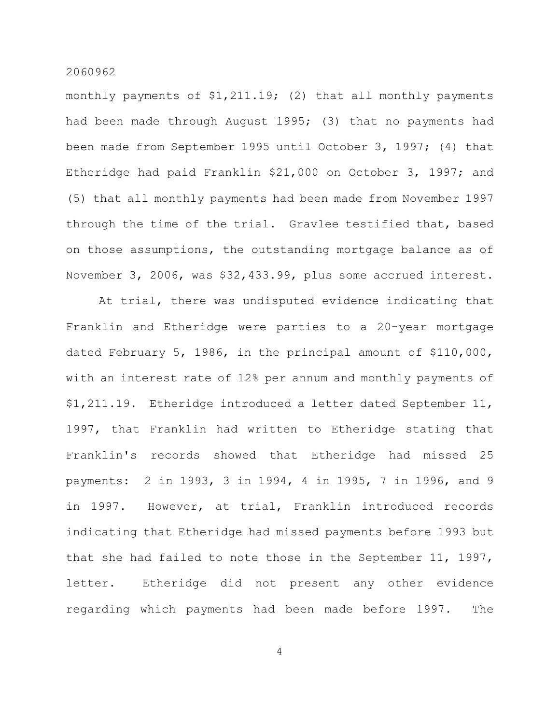monthly payments of \$1,211.19; (2) that all monthly payments had been made through August 1995; (3) that no payments had been made from September 1995 until October 3, 1997; (4) that Etheridge had paid Franklin \$21,000 on October 3, 1997; and (5) that all monthly payments had been made from November 1997 through the time of the trial. Gravlee testified that, based on those assumptions, the outstanding mortgage balance as of November 3, 2006, was \$32,433.99, plus some accrued interest.

At trial, there was undisputed evidence indicating that Franklin and Etheridge were parties to a 20-year mortgage dated February 5, 1986, in the principal amount of \$110,000, with an interest rate of 12% per annum and monthly payments of \$1,211.19. Etheridge introduced a letter dated September 11, 1997, that Franklin had written to Etheridge stating that Franklin's records showed that Etheridge had missed 25 payments: 2 in 1993, 3 in 1994, 4 in 1995, 7 in 1996, and 9 in 1997. However, at trial, Franklin introduced records indicating that Etheridge had missed payments before 1993 but that she had failed to note those in the September 11, 1997, letter. Etheridge did not present any other evidence regarding which payments had been made before 1997. The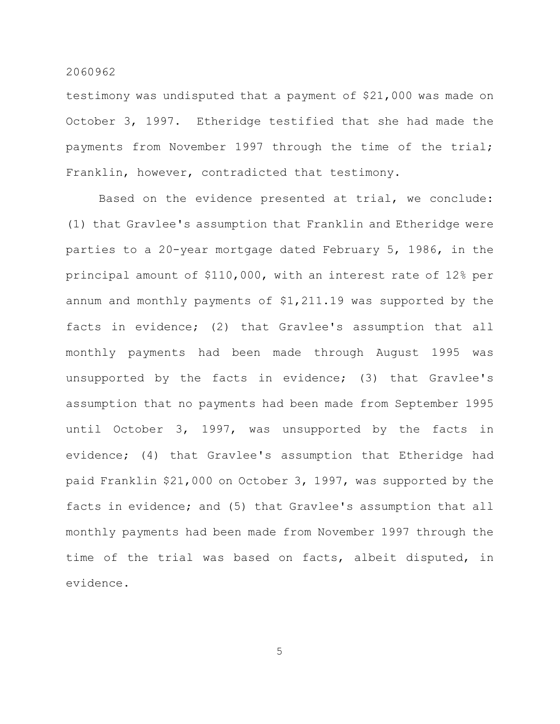testimony was undisputed that a payment of \$21,000 was made on October 3, 1997. Etheridge testified that she had made the payments from November 1997 through the time of the trial; Franklin, however, contradicted that testimony.

Based on the evidence presented at trial, we conclude: (1) that Gravlee's assumption that Franklin and Etheridge were parties to a 20-year mortgage dated February 5, 1986, in the principal amount of \$110,000, with an interest rate of 12% per annum and monthly payments of \$1,211.19 was supported by the facts in evidence; (2) that Gravlee's assumption that all monthly payments had been made through August 1995 was unsupported by the facts in evidence; (3) that Gravlee's assumption that no payments had been made from September 1995 until October 3, 1997, was unsupported by the facts in evidence; (4) that Gravlee's assumption that Etheridge had paid Franklin \$21,000 on October 3, 1997, was supported by the facts in evidence; and (5) that Gravlee's assumption that all monthly payments had been made from November 1997 through the time of the trial was based on facts, albeit disputed, in evidence.